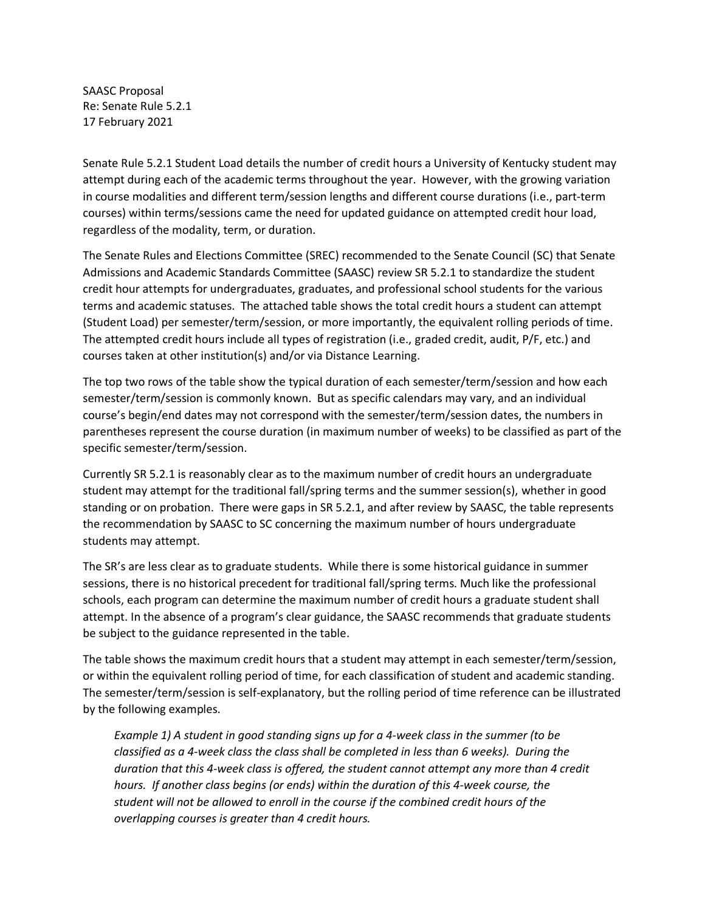SAASC Proposal Re: Senate Rule 5.2.1 17 February 2021

Senate Rule 5.2.1 Student Load details the number of credit hours a University of Kentucky student may attempt during each of the academic terms throughout the year. However, with the growing variation in course modalities and different term/session lengths and different course durations (i.e., part-term courses) within terms/sessions came the need for updated guidance on attempted credit hour load, regardless of the modality, term, or duration.

The Senate Rules and Elections Committee (SREC) recommended to the Senate Council (SC) that Senate Admissions and Academic Standards Committee (SAASC) review SR 5.2.1 to standardize the student credit hour attempts for undergraduates, graduates, and professional school students for the various terms and academic statuses. The attached table shows the total credit hours a student can attempt (Student Load) per semester/term/session, or more importantly, the equivalent rolling periods of time. The attempted credit hours include all types of registration (i.e., graded credit, audit, P/F, etc.) and courses taken at other institution(s) and/or via Distance Learning.

The top two rows of the table show the typical duration of each semester/term/session and how each semester/term/session is commonly known. But as specific calendars may vary, and an individual course's begin/end dates may not correspond with the semester/term/session dates, the numbers in parentheses represent the course duration (in maximum number of weeks) to be classified as part of the specific semester/term/session.

Currently SR 5.2.1 is reasonably clear as to the maximum number of credit hours an undergraduate student may attempt for the traditional fall/spring terms and the summer session(s), whether in good standing or on probation. There were gaps in SR 5.2.1, and after review by SAASC, the table represents the recommendation by SAASC to SC concerning the maximum number of hours undergraduate students may attempt.

The SR's are less clear as to graduate students. While there is some historical guidance in summer sessions, there is no historical precedent for traditional fall/spring terms. Much like the professional schools, each program can determine the maximum number of credit hours a graduate student shall attempt. In the absence of a program's clear guidance, the SAASC recommends that graduate students be subject to the guidance represented in the table.

The table shows the maximum credit hours that a student may attempt in each semester/term/session, or within the equivalent rolling period of time, for each classification of student and academic standing. The semester/term/session is self-explanatory, but the rolling period of time reference can be illustrated by the following examples.

*Example 1) A student in good standing signs up for a 4-week class in the summer (to be classified as a 4-week class the class shall be completed in less than 6 weeks). During the duration that this 4-week class is offered, the student cannot attempt any more than 4 credit hours. If another class begins (or ends) within the duration of this 4-week course, the student will not be allowed to enroll in the course if the combined credit hours of the overlapping courses is greater than 4 credit hours.*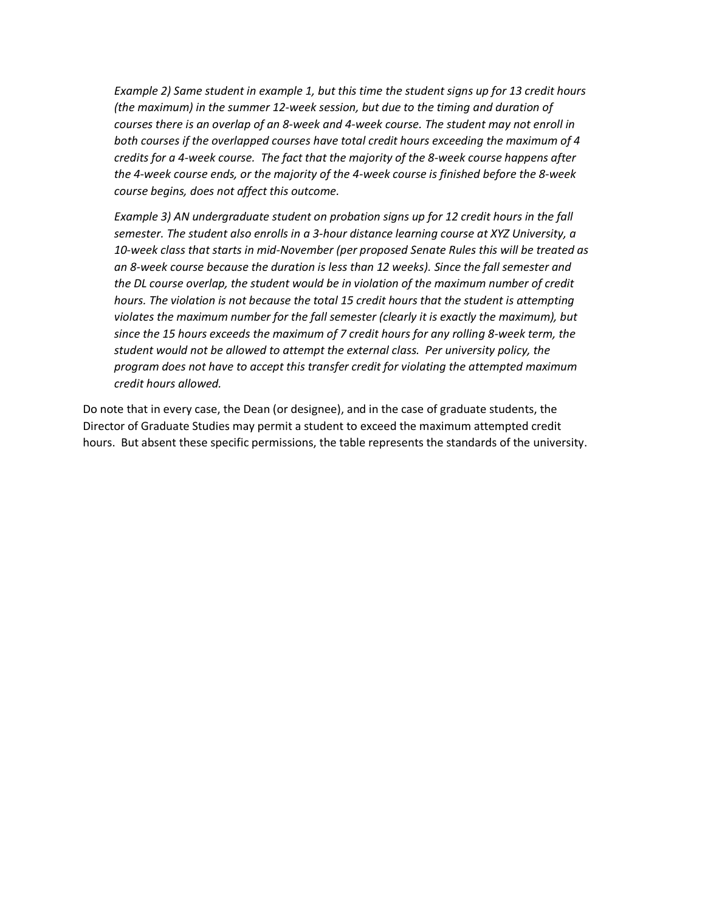*Example 2) Same student in example 1, but this time the student signs up for 13 credit hours (the maximum) in the summer 12-week session, but due to the timing and duration of courses there is an overlap of an 8-week and 4-week course. The student may not enroll in both courses if the overlapped courses have total credit hours exceeding the maximum of 4 credits for a 4-week course. The fact that the majority of the 8-week course happens after the 4-week course ends, or the majority of the 4-week course is finished before the 8-week course begins, does not affect this outcome.*

*Example 3) AN undergraduate student on probation signs up for 12 credit hours in the fall semester. The student also enrolls in a 3-hour distance learning course at XYZ University, a 10-week class that starts in mid-November (per proposed Senate Rules this will be treated as an 8-week course because the duration is less than 12 weeks). Since the fall semester and the DL course overlap, the student would be in violation of the maximum number of credit hours. The violation is not because the total 15 credit hours that the student is attempting violates the maximum number for the fall semester (clearly it is exactly the maximum), but since the 15 hours exceeds the maximum of 7 credit hours for any rolling 8-week term, the student would not be allowed to attempt the external class. Per university policy, the program does not have to accept this transfer credit for violating the attempted maximum credit hours allowed.*

Do note that in every case, the Dean (or designee), and in the case of graduate students, the Director of Graduate Studies may permit a student to exceed the maximum attempted credit hours. But absent these specific permissions, the table represents the standards of the university.